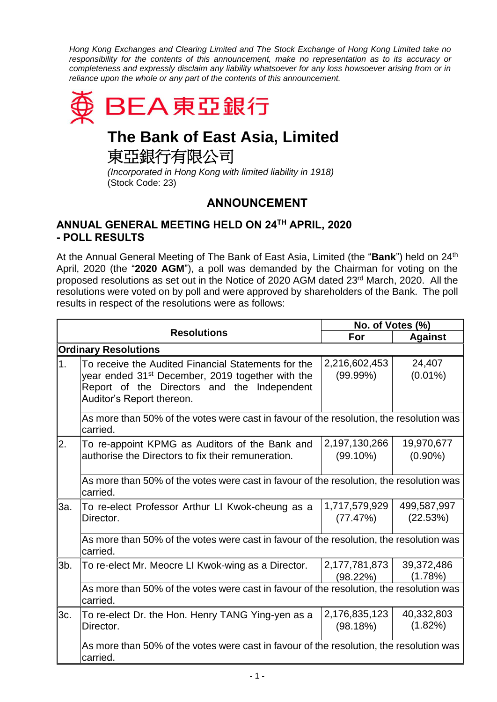*Hong Kong Exchanges and Clearing Limited and The Stock Exchange of Hong Kong Limited take no responsibility for the contents of this announcement, make no representation as to its accuracy or completeness and expressly disclaim any liability whatsoever for any loss howsoever arising from or in reliance upon the whole or any part of the contents of this announcement.*



## **The Bank of East Asia, Limited**

東亞銀行有限公司

*(Incorporated in Hong Kong with limited liability in 1918)* (Stock Code: 23)

## **ANNOUNCEMENT**

## **ANNUAL GENERAL MEETING HELD ON 24TH APRIL, 2020 - POLL RESULTS**

At the Annual General Meeting of The Bank of East Asia, Limited (the "**Bank**") held on 24th April, 2020 (the "**2020 AGM**"), a poll was demanded by the Chairman for voting on the proposed resolutions as set out in the Notice of 2020 AGM dated 23rd March, 2020. All the resolutions were voted on by poll and were approved by shareholders of the Bank. The poll results in respect of the resolutions were as follows:

|                             |                                                                                                                                                                                                 | No. of Votes (%)             |                          |  |
|-----------------------------|-------------------------------------------------------------------------------------------------------------------------------------------------------------------------------------------------|------------------------------|--------------------------|--|
|                             | <b>Resolutions</b>                                                                                                                                                                              | For                          | <b>Against</b>           |  |
| <b>Ordinary Resolutions</b> |                                                                                                                                                                                                 |                              |                          |  |
| $\overline{1}$ .            | To receive the Audited Financial Statements for the<br>year ended 31 <sup>st</sup> December, 2019 together with the<br>Report of the Directors and the Independent<br>Auditor's Report thereon. | 2,216,602,453<br>(99.99%)    | 24,407<br>$(0.01\%)$     |  |
|                             | As more than 50% of the votes were cast in favour of the resolution, the resolution was<br>carried.                                                                                             |                              |                          |  |
| 2.                          | To re-appoint KPMG as Auditors of the Bank and<br>authorise the Directors to fix their remuneration.                                                                                            | 2,197,130,266<br>$(99.10\%)$ | 19,970,677<br>$(0.90\%)$ |  |
|                             | As more than 50% of the votes were cast in favour of the resolution, the resolution was<br>carried.                                                                                             |                              |                          |  |
| За.                         | To re-elect Professor Arthur LI Kwok-cheung as a<br>Director.                                                                                                                                   | 1,717,579,929<br>(77.47%)    | 499,587,997<br>(22.53%)  |  |
|                             | As more than 50% of the votes were cast in favour of the resolution, the resolution was<br>carried.                                                                                             |                              |                          |  |
| 3b.                         | To re-elect Mr. Meocre LI Kwok-wing as a Director.                                                                                                                                              | 2,177,781,873<br>(98.22%)    | 39,372,486<br>(1.78%)    |  |
|                             | As more than 50% of the votes were cast in favour of the resolution, the resolution was<br>carried.                                                                                             |                              |                          |  |
| 3c.                         | To re-elect Dr. the Hon. Henry TANG Ying-yen as a<br>Director.                                                                                                                                  | 2,176,835,123<br>(98.18%)    | 40,332,803<br>(1.82%)    |  |
|                             | As more than 50% of the votes were cast in favour of the resolution, the resolution was<br>carried.                                                                                             |                              |                          |  |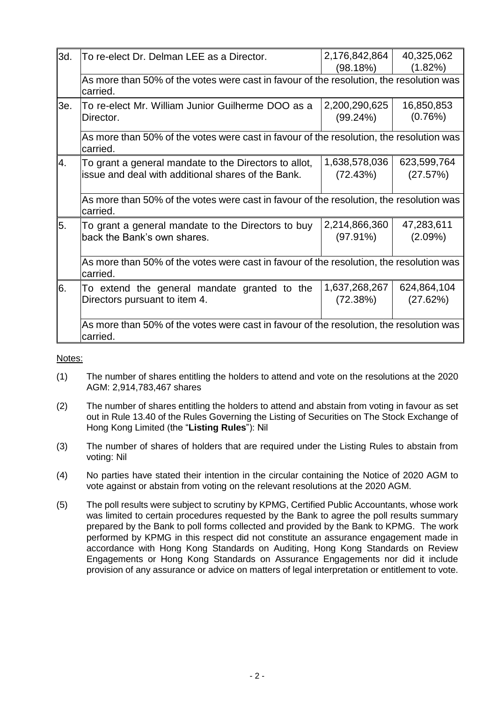| 3d. | To re-elect Dr. Delman LEE as a Director.                                                                   | 2,176,842,864<br>(98.18%)    | 40,325,062<br>(1.82%)   |  |
|-----|-------------------------------------------------------------------------------------------------------------|------------------------------|-------------------------|--|
|     | As more than 50% of the votes were cast in favour of the resolution, the resolution was<br>carried.         |                              |                         |  |
| 3e. | To re-elect Mr. William Junior Guilherme DOO as a<br>Director.                                              | 2,200,290,625<br>(99.24%)    | 16,850,853<br>(0.76%)   |  |
|     | As more than 50% of the votes were cast in favour of the resolution, the resolution was<br>carried.         |                              |                         |  |
| Α.  | To grant a general mandate to the Directors to allot,<br>issue and deal with additional shares of the Bank. | 1,638,578,036<br>(72.43%)    | 623,599,764<br>(27.57%) |  |
|     | As more than 50% of the votes were cast in favour of the resolution, the resolution was<br>carried.         |                              |                         |  |
| 5.  | To grant a general mandate to the Directors to buy<br>back the Bank's own shares.                           | 2,214,866,360<br>$(97.91\%)$ | 47,283,611<br>(2.09%)   |  |
|     | As more than 50% of the votes were cast in favour of the resolution, the resolution was<br>carried.         |                              |                         |  |
| 6.  | To extend the general mandate granted to the<br>Directors pursuant to item 4.                               | 1,637,268,267<br>(72.38%)    | 624,864,104<br>(27.62%) |  |
|     | As more than 50% of the votes were cast in favour of the resolution, the resolution was<br>carried.         |                              |                         |  |

Notes:

- (1) The number of shares entitling the holders to attend and vote on the resolutions at the 2020 AGM: 2,914,783,467 shares
- (2) The number of shares entitling the holders to attend and abstain from voting in favour as set out in Rule 13.40 of the Rules Governing the Listing of Securities on The Stock Exchange of Hong Kong Limited (the "**Listing Rules**"): Nil
- (3) The number of shares of holders that are required under the Listing Rules to abstain from voting: Nil
- (4) No parties have stated their intention in the circular containing the Notice of 2020 AGM to vote against or abstain from voting on the relevant resolutions at the 2020 AGM.
- (5) The poll results were subject to scrutiny by KPMG, Certified Public Accountants, whose work was limited to certain procedures requested by the Bank to agree the poll results summary prepared by the Bank to poll forms collected and provided by the Bank to KPMG. The work performed by KPMG in this respect did not constitute an assurance engagement made in accordance with Hong Kong Standards on Auditing, Hong Kong Standards on Review Engagements or Hong Kong Standards on Assurance Engagements nor did it include provision of any assurance or advice on matters of legal interpretation or entitlement to vote.